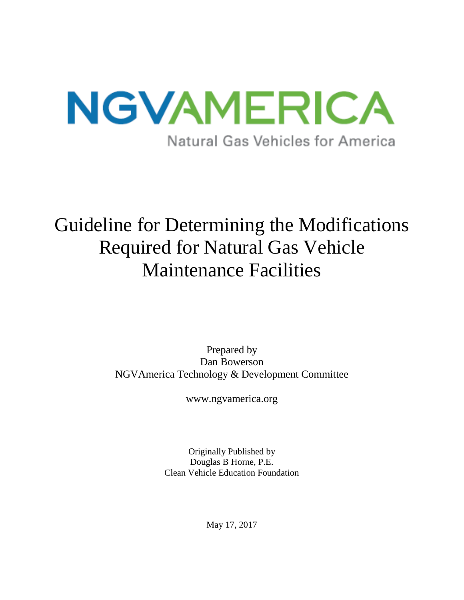

# Guideline for Determining the Modifications Required for Natural Gas Vehicle Maintenance Facilities

Prepared by Dan Bowerson NGVAmerica Technology & Development Committee

www.ngvamerica.org

Originally Published by Douglas B Horne, P.E. Clean Vehicle Education Foundation

May 17, 2017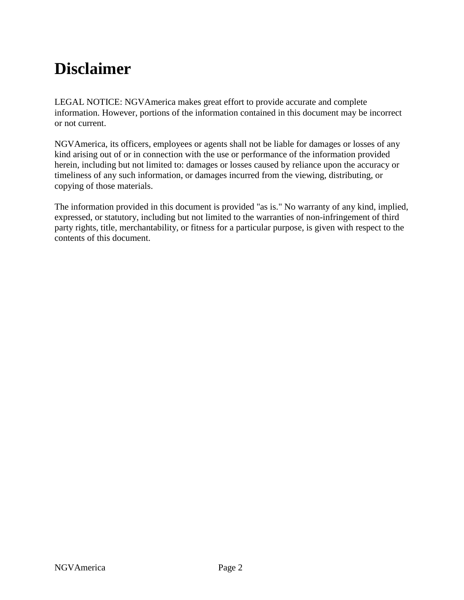## <span id="page-1-0"></span>**Disclaimer**

LEGAL NOTICE: NGVAmerica makes great effort to provide accurate and complete information. However, portions of the information contained in this document may be incorrect or not current.

NGVAmerica, its officers, employees or agents shall not be liable for damages or losses of any kind arising out of or in connection with the use or performance of the information provided herein, including but not limited to: damages or losses caused by reliance upon the accuracy or timeliness of any such information, or damages incurred from the viewing, distributing, or copying of those materials.

The information provided in this document is provided "as is." No warranty of any kind, implied, expressed, or statutory, including but not limited to the warranties of non-infringement of third party rights, title, merchantability, or fitness for a particular purpose, is given with respect to the contents of this document.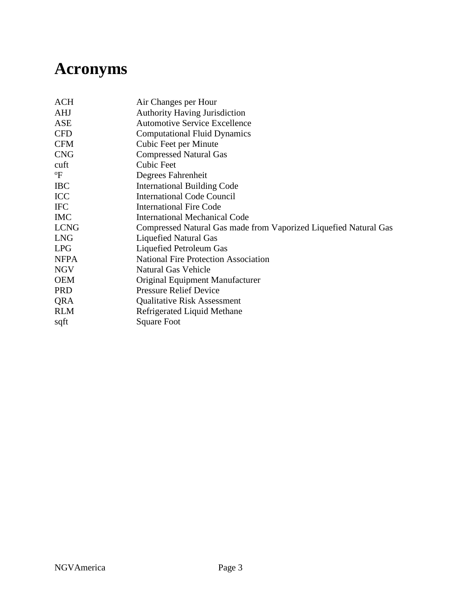## <span id="page-2-0"></span>**Acronyms**

| <b>ACH</b>                | Air Changes per Hour                                             |
|---------------------------|------------------------------------------------------------------|
| <b>AHJ</b>                | <b>Authority Having Jurisdiction</b>                             |
| ASE                       | <b>Automotive Service Excellence</b>                             |
| <b>CFD</b>                | <b>Computational Fluid Dynamics</b>                              |
| <b>CFM</b>                | Cubic Feet per Minute                                            |
| <b>CNG</b>                | <b>Compressed Natural Gas</b>                                    |
| cuft                      | Cubic Feet                                                       |
| $\mathrm{P}^{\mathrm{o}}$ | Degrees Fahrenheit                                               |
| <b>IBC</b>                | <b>International Building Code</b>                               |
| ICC                       | <b>International Code Council</b>                                |
| <b>IFC</b>                | <b>International Fire Code</b>                                   |
| <b>IMC</b>                | <b>International Mechanical Code</b>                             |
| <b>LCNG</b>               | Compressed Natural Gas made from Vaporized Liquefied Natural Gas |
| <b>LNG</b>                | <b>Liquefied Natural Gas</b>                                     |
| <b>LPG</b>                | Liquefied Petroleum Gas                                          |
| <b>NFPA</b>               | <b>National Fire Protection Association</b>                      |
| <b>NGV</b>                | <b>Natural Gas Vehicle</b>                                       |
| <b>OEM</b>                | Original Equipment Manufacturer                                  |
| <b>PRD</b>                | <b>Pressure Relief Device</b>                                    |
| QRA                       | <b>Qualitative Risk Assessment</b>                               |
| <b>RLM</b>                | Refrigerated Liquid Methane                                      |
| sqft                      | <b>Square Foot</b>                                               |
|                           |                                                                  |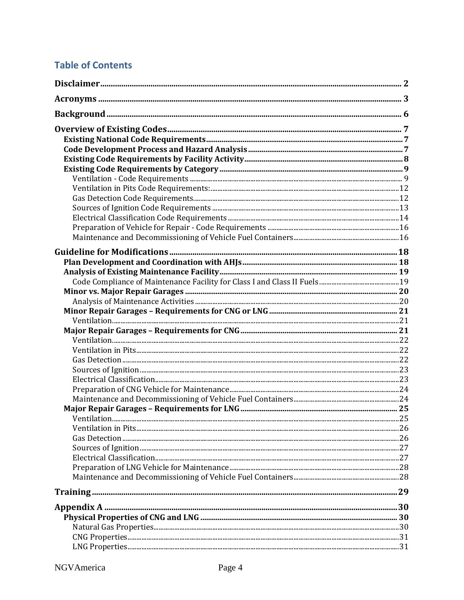## **Table of Contents**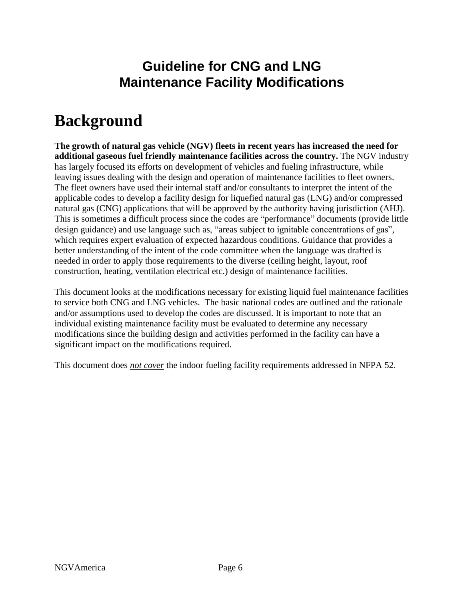## **Guideline for CNG and LNG Maintenance Facility Modifications**

## <span id="page-5-0"></span>**Background**

**The growth of natural gas vehicle (NGV) fleets in recent years has increased the need for additional gaseous fuel friendly maintenance facilities across the country.** The NGV industry has largely focused its efforts on development of vehicles and fueling infrastructure, while leaving issues dealing with the design and operation of maintenance facilities to fleet owners. The fleet owners have used their internal staff and/or consultants to interpret the intent of the applicable codes to develop a facility design for liquefied natural gas (LNG) and/or compressed natural gas (CNG) applications that will be approved by the authority having jurisdiction (AHJ). This is sometimes a difficult process since the codes are "performance" documents (provide little design guidance) and use language such as, "areas subject to ignitable concentrations of gas", which requires expert evaluation of expected hazardous conditions. Guidance that provides a better understanding of the intent of the code committee when the language was drafted is needed in order to apply those requirements to the diverse (ceiling height, layout, roof construction, heating, ventilation electrical etc.) design of maintenance facilities.

This document looks at the modifications necessary for existing liquid fuel maintenance facilities to service both CNG and LNG vehicles. The basic national codes are outlined and the rationale and/or assumptions used to develop the codes are discussed. It is important to note that an individual existing maintenance facility must be evaluated to determine any necessary modifications since the building design and activities performed in the facility can have a significant impact on the modifications required.

This document does *not cover* the indoor fueling facility requirements addressed in NFPA 52.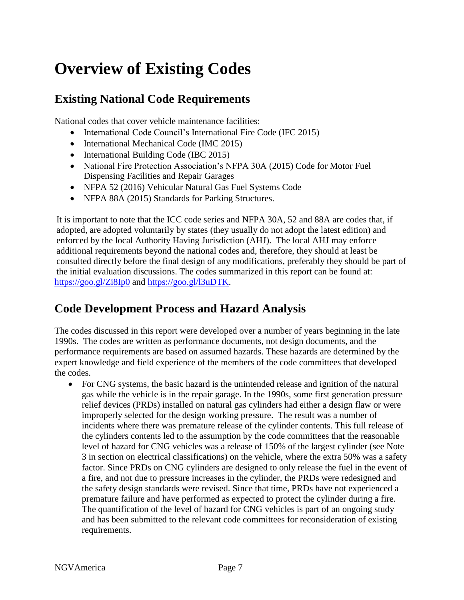## <span id="page-6-0"></span>**Overview of Existing Codes**

## <span id="page-6-1"></span>**Existing National Code Requirements**

National codes that cover vehicle maintenance facilities:

- International Code Council's International Fire Code (IFC 2015)
- International Mechanical Code (IMC 2015)
- International Building Code (IBC 2015)
- National Fire Protection Association's NFPA 30A (2015) Code for Motor Fuel Dispensing Facilities and Repair Garages
- NFPA 52 (2016) Vehicular Natural Gas Fuel Systems Code
- NFPA 88A (2015) Standards for Parking Structures.

It is important to note that the ICC code series and NFPA 30A, 52 and 88A are codes that, if adopted, are adopted voluntarily by states (they usually do not adopt the latest edition) and enforced by the local Authority Having Jurisdiction (AHJ). The local AHJ may enforce additional requirements beyond the national codes and, therefore, they should at least be consulted directly before the final design of any modifications, preferably they should be part of the initial evaluation discussions. The codes summarized in this report can be found at: <https://goo.gl/Zi8Ip0> and [https://goo.gl/l3uDTK.](https://goo.gl/l3uDTK)

## <span id="page-6-2"></span>**Code Development Process and Hazard Analysis**

The codes discussed in this report were developed over a number of years beginning in the late 1990s. The codes are written as performance documents, not design documents, and the performance requirements are based on assumed hazards. These hazards are determined by the expert knowledge and field experience of the members of the code committees that developed the codes.

 For CNG systems, the basic hazard is the unintended release and ignition of the natural gas while the vehicle is in the repair garage. In the 1990s, some first generation pressure relief devices (PRDs) installed on natural gas cylinders had either a design flaw or were improperly selected for the design working pressure. The result was a number of incidents where there was premature release of the cylinder contents. This full release of the cylinders contents led to the assumption by the code committees that the reasonable level of hazard for CNG vehicles was a release of 150% of the largest cylinder (see Note 3 in section on electrical classifications) on the vehicle, where the extra 50% was a safety factor. Since PRDs on CNG cylinders are designed to only release the fuel in the event of a fire, and not due to pressure increases in the cylinder, the PRDs were redesigned and the safety design standards were revised. Since that time, PRDs have not experienced a premature failure and have performed as expected to protect the cylinder during a fire. The quantification of the level of hazard for CNG vehicles is part of an ongoing study and has been submitted to the relevant code committees for reconsideration of existing requirements.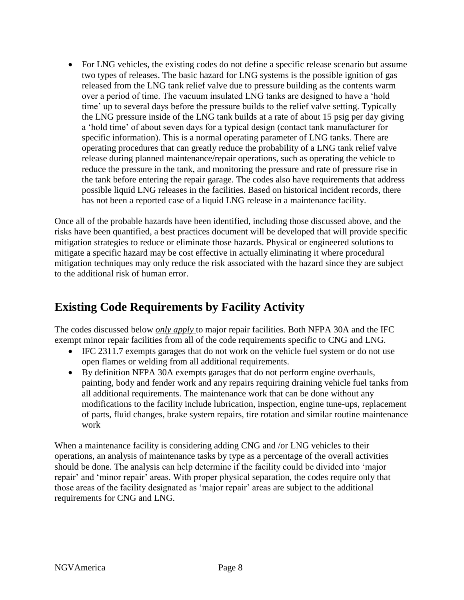For LNG vehicles, the existing codes do not define a specific release scenario but assume two types of releases. The basic hazard for LNG systems is the possible ignition of gas released from the LNG tank relief valve due to pressure building as the contents warm over a period of time. The vacuum insulated LNG tanks are designed to have a 'hold time' up to several days before the pressure builds to the relief valve setting. Typically the LNG pressure inside of the LNG tank builds at a rate of about 15 psig per day giving a 'hold time' of about seven days for a typical design (contact tank manufacturer for specific information). This is a normal operating parameter of LNG tanks. There are operating procedures that can greatly reduce the probability of a LNG tank relief valve release during planned maintenance/repair operations, such as operating the vehicle to reduce the pressure in the tank, and monitoring the pressure and rate of pressure rise in the tank before entering the repair garage. The codes also have requirements that address possible liquid LNG releases in the facilities. Based on historical incident records, there has not been a reported case of a liquid LNG release in a maintenance facility.

Once all of the probable hazards have been identified, including those discussed above, and the risks have been quantified, a best practices document will be developed that will provide specific mitigation strategies to reduce or eliminate those hazards. Physical or engineered solutions to mitigate a specific hazard may be cost effective in actually eliminating it where procedural mitigation techniques may only reduce the risk associated with the hazard since they are subject to the additional risk of human error.

## <span id="page-7-0"></span>**Existing Code Requirements by Facility Activity**

The codes discussed below *only apply* to major repair facilities. Both NFPA 30A and the IFC exempt minor repair facilities from all of the code requirements specific to CNG and LNG.

- IFC 2311.7 exempts garages that do not work on the vehicle fuel system or do not use open flames or welding from all additional requirements.
- By definition NFPA 30A exempts garages that do not perform engine overhauls, painting, body and fender work and any repairs requiring draining vehicle fuel tanks from all additional requirements. The maintenance work that can be done without any modifications to the facility include lubrication, inspection, engine tune-ups, replacement of parts, fluid changes, brake system repairs, tire rotation and similar routine maintenance work

<span id="page-7-1"></span>When a maintenance facility is considering adding CNG and /or LNG vehicles to their operations, an analysis of maintenance tasks by type as a percentage of the overall activities should be done. The analysis can help determine if the facility could be divided into 'major repair' and 'minor repair' areas. With proper physical separation, the codes require only that those areas of the facility designated as 'major repair' areas are subject to the additional requirements for CNG and LNG.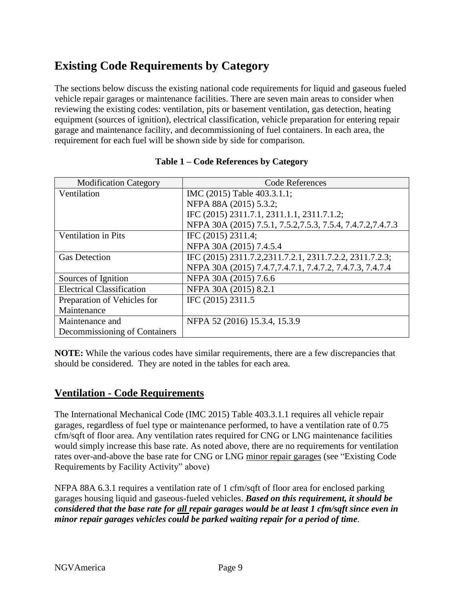## **Existing Code Requirements by Category**

The sections below discuss the existing national code requirements for liquid and gaseous fueled vehicle repair garages or maintenance facilities. There are seven main areas to consider when reviewing the existing codes: ventilation, pits or basement ventilation, gas detection, heating equipment (sources of ignition), electrical classification, vehicle preparation for entering repair garage and maintenance facility, and decommissioning of fuel containers. In each area, the requirement for each fuel will be shown side by side for comparison.

| <b>Modification Category</b>     | <b>Code References</b>                                       |
|----------------------------------|--------------------------------------------------------------|
| Ventilation                      | IMC (2015) Table 403.3.1.1;                                  |
|                                  | NFPA 88A (2015) 5.3.2;                                       |
|                                  | IFC (2015) 2311.7.1, 2311.1.1, 2311.7.1.2;                   |
|                                  | NFPA 30A (2015) 7.5.1, 7.5.2, 7.5.3, 7.5.4, 7.4.7.2, 7.4.7.3 |
| <b>Ventilation in Pits</b>       | IFC (2015) 2311.4;                                           |
|                                  | NFPA 30A (2015) 7.4.5.4                                      |
| <b>Gas Detection</b>             | IFC (2015) 2311.7.2.2311.7.2.1, 2311.7.2.2, 2311.7.2.3;      |
|                                  | NFPA 30A (2015) 7.4.7, 7.4.7.1, 7.4.7.2, 7.4.7.3, 7.4.7.4    |
| Sources of Ignition              | NFPA 30A (2015) 7.6.6                                        |
| <b>Electrical Classification</b> | NFPA 30A (2015) 8.2.1                                        |
| Preparation of Vehicles for      | IFC (2015) 2311.5                                            |
| Maintenance                      |                                                              |
| Maintenance and                  | NFPA 52 (2016) 15.3.4, 15.3.9                                |
| Decommissioning of Containers    |                                                              |

#### **Table 1 – Code References by Category**

**NOTE:** While the various codes have similar requirements, there are a few discrepancies that should be considered. They are noted in the tables for each area.

#### <span id="page-8-0"></span>**Ventilation - Code Requirements**

The International Mechanical Code (IMC 2015) Table 403.3.1.1 requires all vehicle repair garages, regardless of fuel type or maintenance performed, to have a ventilation rate of 0.75 cfm/sqft of floor area. Any ventilation rates required for CNG or LNG maintenance facilities would simply increase this base rate. As noted above, there are no requirements for ventilation rates over-and-above the base rate for CNG or LNG minor repair garages (see "Existing Code Requirements by Facility Activity" above)

NFPA 88A 6.3.1 requires a ventilation rate of 1 cfm/sqft of floor area for enclosed parking garages housing liquid and gaseous-fueled vehicles. *Based on this requirement, it should be considered that the base rate for all repair garages would be at least 1 cfm/sqft since even in minor repair garages vehicles could be parked waiting repair for a period of time.*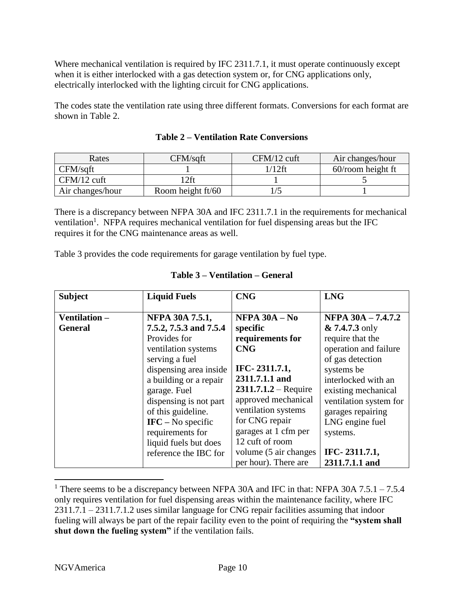Where mechanical ventilation is required by IFC 2311.7.1, it must operate continuously except when it is either interlocked with a gas detection system or, for CNG applications only, electrically interlocked with the lighting circuit for CNG applications.

The codes state the ventilation rate using three different formats. Conversions for each format are shown in Table 2.

| Rates            | CFM/saft          | $CFM/12$ cuft | Air changes/hour     |
|------------------|-------------------|---------------|----------------------|
| CFM/sqft         |                   | 1/12ft        | $60$ /room height ft |
| $CFM/12$ cuft    | $2$ ft            |               |                      |
| Air changes/hour | Room height ft/60 |               |                      |

|  |  |  | <b>Table 2 – Ventilation Rate Conversions</b> |
|--|--|--|-----------------------------------------------|
|--|--|--|-----------------------------------------------|

There is a discrepancy between NFPA 30A and IFC 2311.7.1 in the requirements for mechanical ventilation<sup>1</sup>. NFPA requires mechanical ventilation for fuel dispensing areas but the IFC requires it for the CNG maintenance areas as well.

Table 3 provides the code requirements for garage ventilation by fuel type.

| <b>Subject</b> | <b>Liquid Fuels</b>                 | <b>CNG</b>              | <b>LNG</b>             |
|----------------|-------------------------------------|-------------------------|------------------------|
| Ventilation -  | NFPA 30A 7.5.1,                     | NFPA $30A - No$         | NFPA 30A - 7.4.7.2     |
| <b>General</b> | 7.5.2, 7.5.3 and 7.5.4              | specific                | $& 7.4.7.3$ only       |
|                | Provides for                        | requirements for        | require that the       |
|                | ventilation systems                 | <b>CNG</b>              | operation and failure  |
|                | serving a fuel                      |                         | of gas detection       |
|                | dispensing area inside              | IFC-2311.7.1,           | systems be             |
|                | a building or a repair              | 2311.7.1.1 and          | interlocked with an    |
|                | garage. Fuel                        | $2311.7.1.2 - Required$ | existing mechanical    |
|                | dispensing is not part              | approved mechanical     | ventilation system for |
|                | of this guideline.                  | ventilation systems     | garages repairing      |
|                | $\textbf{IFC} - \text{No specific}$ | for CNG repair          | LNG engine fuel        |
|                | requirements for                    | garages at 1 cfm per    | systems.               |
|                | liquid fuels but does               | 12 cuft of room         |                        |
|                | reference the IBC for               | volume (5 air changes)  | IFC-2311.7.1,          |
|                |                                     | per hour). There are    | 2311.7.1.1 and         |

#### **Table 3 – Ventilation – General**

 $\overline{a}$ 

<sup>&</sup>lt;sup>1</sup> There seems to be a discrepancy between NFPA 30A and IFC in that: NFPA 30A 7.5.1 – 7.5.4 only requires ventilation for fuel dispensing areas within the maintenance facility, where IFC 2311.7.1 – 2311.7.1.2 uses similar language for CNG repair facilities assuming that indoor fueling will always be part of the repair facility even to the point of requiring the **"system shall shut down the fueling system"** if the ventilation fails.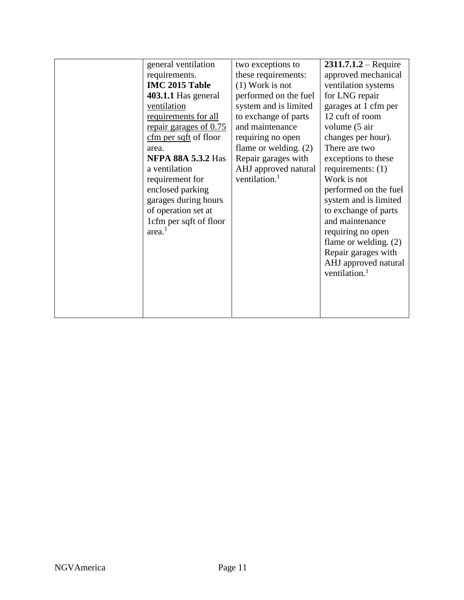| general ventilation       | two exceptions to         | $2311.7.1.2 - Required$   |
|---------------------------|---------------------------|---------------------------|
| requirements.             | these requirements:       | approved mechanical       |
| IMC 2015 Table            | $(1)$ Work is not         | ventilation systems       |
| 403.1.1 Has general       | performed on the fuel     | for LNG repair            |
| ventilation               | system and is limited     | garages at 1 cfm per      |
| requirements for all      | to exchange of parts      | 12 cuft of room           |
| repair garages of 0.75    | and maintenance           | volume (5 air             |
| $cfm$ per sqft of floor   | requiring no open         | changes per hour).        |
| area.                     | flame or welding. $(2)$   | There are two             |
| <b>NFPA 88A 5.3.2 Has</b> | Repair garages with       | exceptions to these       |
| a ventilation             | AHJ approved natural      | requirements: $(1)$       |
| requirement for           | ventilation. <sup>1</sup> | Work is not               |
| enclosed parking          |                           | performed on the fuel     |
| garages during hours      |                           | system and is limited     |
| of operation set at       |                           | to exchange of parts      |
| 1cfm per sqft of floor    |                           | and maintenance           |
| area. <sup>1</sup>        |                           | requiring no open         |
|                           |                           | flame or welding. $(2)$   |
|                           |                           | Repair garages with       |
|                           |                           | AHJ approved natural      |
|                           |                           | ventilation. <sup>1</sup> |
|                           |                           |                           |
|                           |                           |                           |
|                           |                           |                           |
|                           |                           |                           |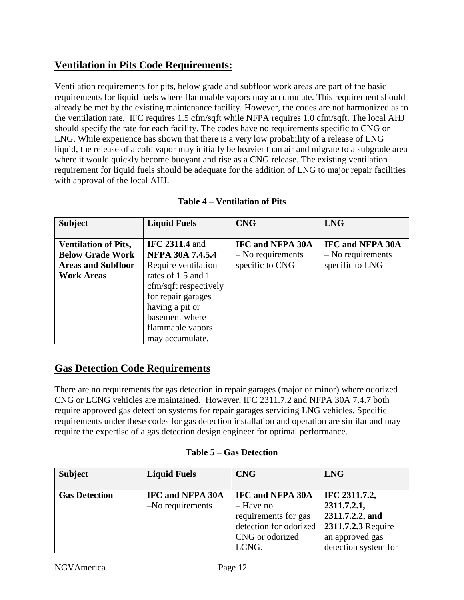## <span id="page-11-0"></span>**Ventilation in Pits Code Requirements:**

Ventilation requirements for pits, below grade and subfloor work areas are part of the basic requirements for liquid fuels where flammable vapors may accumulate. This requirement should already be met by the existing maintenance facility. However, the codes are not harmonized as to the ventilation rate. IFC requires 1.5 cfm/sqft while NFPA requires 1.0 cfm/sqft. The local AHJ should specify the rate for each facility. The codes have no requirements specific to CNG or LNG. While experience has shown that there is a very low probability of a release of LNG liquid, the release of a cold vapor may initially be heavier than air and migrate to a subgrade area where it would quickly become buoyant and rise as a CNG release. The existing ventilation requirement for liquid fuels should be adequate for the addition of LNG to major repair facilities with approval of the local AHJ.

| <b>Subject</b>              | <b>Liquid Fuels</b>     | <b>CNG</b>              | <b>LNG</b>              |
|-----------------------------|-------------------------|-------------------------|-------------------------|
|                             |                         |                         |                         |
| <b>Ventilation of Pits,</b> | <b>IFC 2311.4 and</b>   | <b>IFC and NFPA 30A</b> | <b>IFC and NFPA 30A</b> |
| <b>Below Grade Work</b>     | <b>NFPA 30A 7.4.5.4</b> | $-$ No requirements     | $-$ No requirements     |
| <b>Areas and Subfloor</b>   | Require ventilation     | specific to CNG         | specific to LNG         |
| <b>Work Areas</b>           | rates of 1.5 and 1      |                         |                         |
|                             | cfm/sqft respectively   |                         |                         |
|                             | for repair garages      |                         |                         |
|                             | having a pit or         |                         |                         |
|                             | basement where          |                         |                         |
|                             | flammable vapors        |                         |                         |
|                             | may accumulate.         |                         |                         |

| Table 4 – Ventilation of Pits |
|-------------------------------|
|-------------------------------|

## <span id="page-11-1"></span>**Gas Detection Code Requirements**

There are no requirements for gas detection in repair garages (major or minor) where odorized CNG or LCNG vehicles are maintained. However, IFC 2311.7.2 and NFPA 30A 7.4.7 both require approved gas detection systems for repair garages servicing LNG vehicles. Specific requirements under these codes for gas detection installation and operation are similar and may require the expertise of a gas detection design engineer for optimal performance.

| <b>Subject</b>       | <b>Liquid Fuels</b>     | <b>CNG</b>              | <b>LNG</b>           |
|----------------------|-------------------------|-------------------------|----------------------|
| <b>Gas Detection</b> | <b>IFC and NFPA 30A</b> | <b>IFC and NFPA 30A</b> | IFC 2311.7.2,        |
|                      | $-No$ requirements      | - Have no               | 2311.7.2.1,          |
|                      |                         | requirements for gas    | 2311.7.2.2, and      |
|                      |                         | detection for odorized  | 2311.7.2.3 Require   |
|                      |                         | CNG or odorized         | an approved gas      |
|                      |                         | LCNG.                   | detection system for |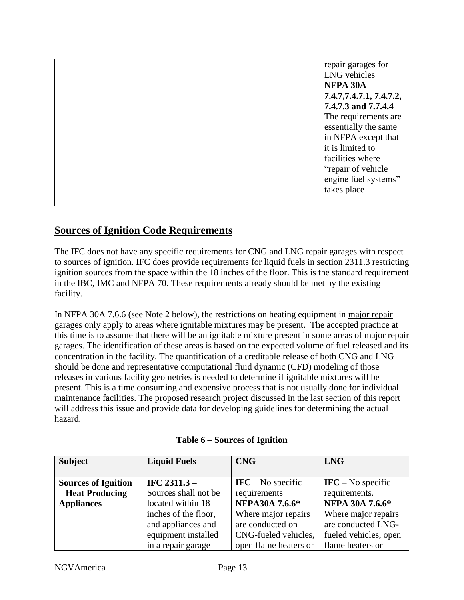|  | repair garages for<br>LNG vehicles<br>NFPA 30A<br>7.4.7, 7.4.7.1, 7.4.7.2,<br>7.4.7.3 and 7.7.4.4<br>The requirements are<br>essentially the same<br>in NFPA except that<br>it is limited to<br>facilities where<br>"repair of vehicle"<br>engine fuel systems"<br>takes place |
|--|--------------------------------------------------------------------------------------------------------------------------------------------------------------------------------------------------------------------------------------------------------------------------------|
|  |                                                                                                                                                                                                                                                                                |

## <span id="page-12-0"></span>**Sources of Ignition Code Requirements**

The IFC does not have any specific requirements for CNG and LNG repair garages with respect to sources of ignition. IFC does provide requirements for liquid fuels in section 2311.3 restricting ignition sources from the space within the 18 inches of the floor. This is the standard requirement in the IBC, IMC and NFPA 70. These requirements already should be met by the existing facility.

In NFPA 30A 7.6.6 (see Note 2 below), the restrictions on heating equipment in major repair garages only apply to areas where ignitable mixtures may be present. The accepted practice at this time is to assume that there will be an ignitable mixture present in some areas of major repair garages. The identification of these areas is based on the expected volume of fuel released and its concentration in the facility. The quantification of a creditable release of both CNG and LNG should be done and representative computational fluid dynamic (CFD) modeling of those releases in various facility geometries is needed to determine if ignitable mixtures will be present. This is a time consuming and expensive process that is not usually done for individual maintenance facilities. The proposed research project discussed in the last section of this report will address this issue and provide data for developing guidelines for determining the actual hazard.

| <b>Subject</b>             | <b>Liquid Fuels</b>                         | <b>CNG</b>                        | <b>LNG</b>                            |
|----------------------------|---------------------------------------------|-----------------------------------|---------------------------------------|
|                            |                                             |                                   |                                       |
| <b>Sources of Ignition</b> | IFC $2311.3 -$                              | $\text{IFC} - \text{No specific}$ | $\textbf{IFC} - \textbf{No}$ specific |
| - Heat Producing           | Sources shall not be                        | requirements                      | requirements.                         |
| <b>Appliances</b>          | located within 18                           | NFPA30A 7.6.6*                    | NFPA 30A 7.6.6*                       |
|                            | Where major repairs<br>inches of the floor, |                                   | Where major repairs                   |
|                            | and appliances and                          | are conducted on                  | are conducted LNG-                    |
|                            | equipment installed                         | CNG-fueled vehicles,              | fueled vehicles, open                 |
|                            | in a repair garage                          | open flame heaters or             | flame heaters or                      |

#### **Table 6 – Sources of Ignition**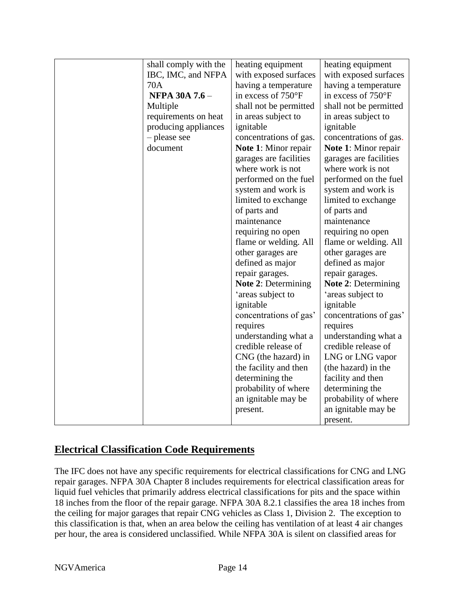|  | shall comply with the | heating equipment                          | heating equipment           |  |
|--|-----------------------|--------------------------------------------|-----------------------------|--|
|  | IBC, IMC, and NFPA    | with exposed surfaces                      | with exposed surfaces       |  |
|  | 70A                   |                                            |                             |  |
|  |                       | having a temperature                       | having a temperature        |  |
|  | <b>NFPA 30A 7.6 -</b> | in excess of 750°F                         | in excess of 750°F          |  |
|  | Multiple              | shall not be permitted                     | shall not be permitted      |  |
|  | requirements on heat  | in areas subject to                        | in areas subject to         |  |
|  | producing appliances  | ignitable                                  | ignitable                   |  |
|  | - please see          | concentrations of gas.                     | concentrations of gas.      |  |
|  | document              | <b>Note 1:</b> Minor repair                | <b>Note 1:</b> Minor repair |  |
|  |                       | garages are facilities                     | garages are facilities      |  |
|  |                       | where work is not                          | where work is not           |  |
|  |                       | performed on the fuel                      | performed on the fuel       |  |
|  |                       | system and work is                         | system and work is          |  |
|  |                       | limited to exchange                        | limited to exchange         |  |
|  |                       | of parts and                               | of parts and                |  |
|  |                       | maintenance                                | maintenance                 |  |
|  |                       | requiring no open                          | requiring no open           |  |
|  |                       | flame or welding. All                      | flame or welding. All       |  |
|  |                       | other garages are                          | other garages are           |  |
|  |                       | defined as major                           | defined as major            |  |
|  |                       | repair garages.                            | repair garages.             |  |
|  |                       | <b>Note 2: Determining</b>                 | <b>Note 2: Determining</b>  |  |
|  |                       | 'areas subject to                          | 'areas subject to           |  |
|  |                       | ignitable                                  | ignitable                   |  |
|  |                       | concentrations of gas'                     | concentrations of gas'      |  |
|  |                       | requires                                   | requires                    |  |
|  |                       | understanding what a                       | understanding what a        |  |
|  |                       |                                            | credible release of         |  |
|  |                       | credible release of<br>CNG (the hazard) in | LNG or LNG vapor            |  |
|  |                       | the facility and then                      | (the hazard) in the         |  |
|  |                       | determining the                            | facility and then           |  |
|  |                       |                                            |                             |  |
|  |                       | probability of where                       | determining the             |  |
|  |                       | an ignitable may be                        | probability of where        |  |
|  |                       | present.                                   | an ignitable may be         |  |
|  |                       |                                            | present.                    |  |

## <span id="page-13-0"></span>**Electrical Classification Code Requirements**

The IFC does not have any specific requirements for electrical classifications for CNG and LNG repair garages. NFPA 30A Chapter 8 includes requirements for electrical classification areas for liquid fuel vehicles that primarily address electrical classifications for pits and the space within 18 inches from the floor of the repair garage. NFPA 30A 8.2.1 classifies the area 18 inches from the ceiling for major garages that repair CNG vehicles as Class 1, Division 2. The exception to this classification is that, when an area below the ceiling has ventilation of at least 4 air changes per hour, the area is considered unclassified. While NFPA 30A is silent on classified areas for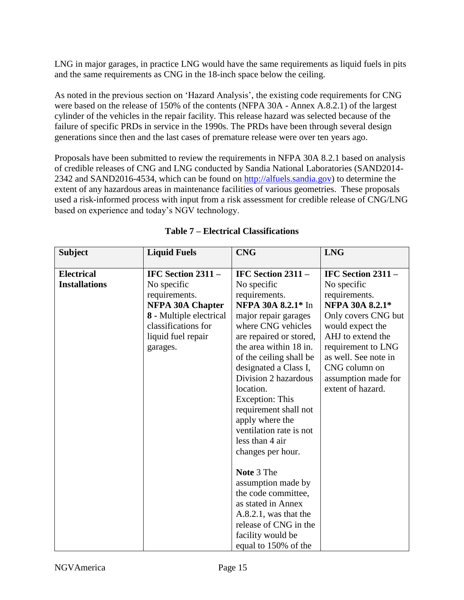LNG in major garages, in practice LNG would have the same requirements as liquid fuels in pits and the same requirements as CNG in the 18-inch space below the ceiling.

As noted in the previous section on 'Hazard Analysis', the existing code requirements for CNG were based on the release of 150% of the contents (NFPA 30A - Annex A.8.2.1) of the largest cylinder of the vehicles in the repair facility. This release hazard was selected because of the failure of specific PRDs in service in the 1990s. The PRDs have been through several design generations since then and the last cases of premature release were over ten years ago.

Proposals have been submitted to review the requirements in NFPA 30A 8.2.1 based on analysis of credible releases of CNG and LNG conducted by Sandia National Laboratories (SAND2014- 2342 and SAND2016-4534, which can be found on [http://alfuels.sandia.gov\)](http://alfuels.sandia.gov/) to determine the extent of any hazardous areas in maintenance facilities of various geometries. These proposals used a risk-informed process with input from a risk assessment for credible release of CNG/LNG based on experience and today's NGV technology.

| <b>Subject</b>       | <b>Liquid Fuels</b>     | <b>CNG</b>               | <b>LNG</b>           |
|----------------------|-------------------------|--------------------------|----------------------|
| <b>Electrical</b>    | IFC Section $2311 -$    | IFC Section $2311 -$     | IFC Section 2311 -   |
| <b>Installations</b> | No specific             | No specific              | No specific          |
|                      | requirements.           | requirements.            | requirements.        |
|                      | NFPA 30A Chapter        | NFPA 30A 8.2.1* In       | NFPA 30A 8.2.1*      |
|                      | 8 - Multiple electrical | major repair garages     | Only covers CNG but  |
|                      | classifications for     | where CNG vehicles       | would expect the     |
|                      | liquid fuel repair      | are repaired or stored,  | AHJ to extend the    |
|                      | garages.                | the area within 18 in.   | requirement to LNG   |
|                      |                         | of the ceiling shall be  | as well. See note in |
|                      |                         | designated a Class I,    | CNG column on        |
|                      |                         | Division 2 hazardous     | assumption made for  |
|                      |                         | location.                | extent of hazard.    |
|                      |                         | <b>Exception: This</b>   |                      |
|                      |                         | requirement shall not    |                      |
|                      |                         | apply where the          |                      |
|                      |                         | ventilation rate is not  |                      |
|                      |                         | less than 4 air          |                      |
|                      |                         | changes per hour.        |                      |
|                      |                         |                          |                      |
|                      |                         | Note 3 The               |                      |
|                      |                         | assumption made by       |                      |
|                      |                         | the code committee,      |                      |
|                      |                         | as stated in Annex       |                      |
|                      |                         | $A.8.2.1$ , was that the |                      |
|                      |                         | release of CNG in the    |                      |
|                      |                         | facility would be        |                      |
|                      |                         | equal to 150% of the     |                      |

#### **Table 7 – Electrical Classifications**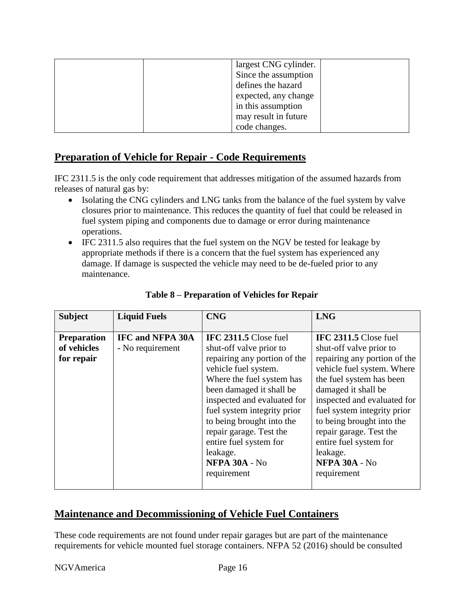|  | largest CNG cylinder. |  |
|--|-----------------------|--|
|  | Since the assumption  |  |
|  | defines the hazard    |  |
|  | expected, any change  |  |
|  | in this assumption    |  |
|  | may result in future  |  |
|  | code changes.         |  |

## <span id="page-15-0"></span>**Preparation of Vehicle for Repair - Code Requirements**

IFC 2311.5 is the only code requirement that addresses mitigation of the assumed hazards from releases of natural gas by:

- Isolating the CNG cylinders and LNG tanks from the balance of the fuel system by valve closures prior to maintenance. This reduces the quantity of fuel that could be released in fuel system piping and components due to damage or error during maintenance operations.
- IFC 2311.5 also requires that the fuel system on the NGV be tested for leakage by appropriate methods if there is a concern that the fuel system has experienced any damage. If damage is suspected the vehicle may need to be de-fueled prior to any maintenance.

| <b>Subject</b>                                  | <b>Liquid Fuels</b>                         | <b>CNG</b>                                                                                                                                                                                                                                                                                                                                                           | <b>LNG</b>                                                                                                                                                                                                                                                                                                                                                           |
|-------------------------------------------------|---------------------------------------------|----------------------------------------------------------------------------------------------------------------------------------------------------------------------------------------------------------------------------------------------------------------------------------------------------------------------------------------------------------------------|----------------------------------------------------------------------------------------------------------------------------------------------------------------------------------------------------------------------------------------------------------------------------------------------------------------------------------------------------------------------|
| <b>Preparation</b><br>of vehicles<br>for repair | <b>IFC and NFPA 30A</b><br>- No requirement | IFC 2311.5 Close fuel<br>shut-off valve prior to<br>repairing any portion of the<br>vehicle fuel system.<br>Where the fuel system has<br>been damaged it shall be<br>inspected and evaluated for<br>fuel system integrity prior<br>to being brought into the<br>repair garage. Test the<br>entire fuel system for<br>leakage.<br><b>NFPA 30A - No</b><br>requirement | IFC 2311.5 Close fuel<br>shut-off valve prior to<br>repairing any portion of the<br>vehicle fuel system. Where<br>the fuel system has been<br>damaged it shall be<br>inspected and evaluated for<br>fuel system integrity prior<br>to being brought into the<br>repair garage. Test the<br>entire fuel system for<br>leakage.<br><b>NFPA 30A - No</b><br>requirement |

#### **Table 8 – Preparation of Vehicles for Repair**

## <span id="page-15-1"></span>**Maintenance and Decommissioning of Vehicle Fuel Containers**

These code requirements are not found under repair garages but are part of the maintenance requirements for vehicle mounted fuel storage containers. NFPA 52 (2016) should be consulted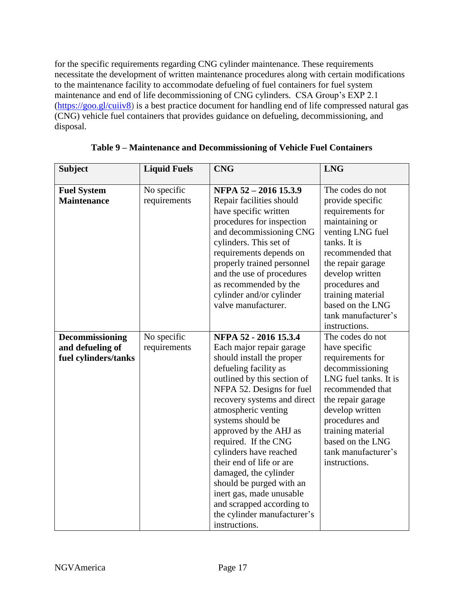for the specific requirements regarding CNG cylinder maintenance. These requirements necessitate the development of written maintenance procedures along with certain modifications to the maintenance facility to accommodate defueling of fuel containers for fuel system maintenance and end of life decommissioning of CNG cylinders. CSA Group's EXP 2.1 [\(https://goo.gl/cuiiv8\)](https://goo.gl/cuiiv8) is a best practice document for handling end of life compressed natural gas (CNG) vehicle fuel containers that provides guidance on defueling, decommissioning, and disposal.

| <b>Subject</b>                                              | <b>Liquid Fuels</b>         | <b>CNG</b>                                                                                                                                                                                                                                                                                                                                                                                                                                                                                                           | <b>LNG</b>                                                                                                                                                                                                                                                                    |
|-------------------------------------------------------------|-----------------------------|----------------------------------------------------------------------------------------------------------------------------------------------------------------------------------------------------------------------------------------------------------------------------------------------------------------------------------------------------------------------------------------------------------------------------------------------------------------------------------------------------------------------|-------------------------------------------------------------------------------------------------------------------------------------------------------------------------------------------------------------------------------------------------------------------------------|
| <b>Fuel System</b><br><b>Maintenance</b>                    | No specific<br>requirements | NFPA 52 - 2016 15.3.9<br>Repair facilities should<br>have specific written<br>procedures for inspection<br>and decommissioning CNG<br>cylinders. This set of<br>requirements depends on<br>properly trained personnel<br>and the use of procedures<br>as recommended by the<br>cylinder and/or cylinder<br>valve manufacturer.                                                                                                                                                                                       | The codes do not<br>provide specific<br>requirements for<br>maintaining or<br>venting LNG fuel<br>tanks. It is<br>recommended that<br>the repair garage<br>develop written<br>procedures and<br>training material<br>based on the LNG<br>tank manufacturer's<br>instructions. |
| Decommissioning<br>and defueling of<br>fuel cylinders/tanks | No specific<br>requirements | NFPA 52 - 2016 15.3.4<br>Each major repair garage<br>should install the proper<br>defueling facility as<br>outlined by this section of<br>NFPA 52. Designs for fuel<br>recovery systems and direct<br>atmospheric venting<br>systems should be<br>approved by the AHJ as<br>required. If the CNG<br>cylinders have reached<br>their end of life or are<br>damaged, the cylinder<br>should be purged with an<br>inert gas, made unusable<br>and scrapped according to<br>the cylinder manufacturer's<br>instructions. | The codes do not<br>have specific<br>requirements for<br>decommissioning<br>LNG fuel tanks. It is<br>recommended that<br>the repair garage<br>develop written<br>procedures and<br>training material<br>based on the LNG<br>tank manufacturer's<br>instructions.              |

| Table 9 – Maintenance and Decommissioning of Vehicle Fuel Containers |  |  |
|----------------------------------------------------------------------|--|--|
|                                                                      |  |  |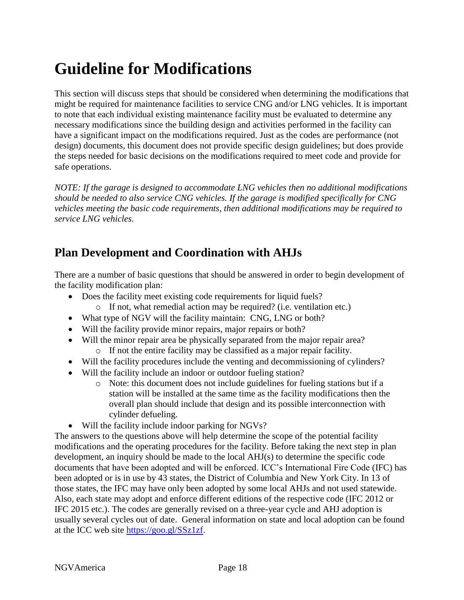## <span id="page-17-0"></span>**Guideline for Modifications**

This section will discuss steps that should be considered when determining the modifications that might be required for maintenance facilities to service CNG and/or LNG vehicles. It is important to note that each individual existing maintenance facility must be evaluated to determine any necessary modifications since the building design and activities performed in the facility can have a significant impact on the modifications required. Just as the codes are performance (not design) documents, this document does not provide specific design guidelines; but does provide the steps needed for basic decisions on the modifications required to meet code and provide for safe operations.

*NOTE: If the garage is designed to accommodate LNG vehicles then no additional modifications should be needed to also service CNG vehicles. If the garage is modified specifically for CNG vehicles meeting the basic code requirements, then additional modifications may be required to service LNG vehicles.* 

## <span id="page-17-1"></span>**Plan Development and Coordination with AHJs**

There are a number of basic questions that should be answered in order to begin development of the facility modification plan:

- Does the facility meet existing code requirements for liquid fuels?
	- o If not, what remedial action may be required? (i.e. ventilation etc.)
- What type of NGV will the facility maintain: CNG, LNG or both?
- Will the facility provide minor repairs, major repairs or both?
- Will the minor repair area be physically separated from the major repair area? o If not the entire facility may be classified as a major repair facility.
- Will the facility procedures include the venting and decommissioning of cylinders?
- Will the facility include an indoor or outdoor fueling station?
	- o Note: this document does not include guidelines for fueling stations but if a station will be installed at the same time as the facility modifications then the overall plan should include that design and its possible interconnection with cylinder defueling.
- Will the facility include indoor parking for NGVs?

The answers to the questions above will help determine the scope of the potential facility modifications and the operating procedures for the facility. Before taking the next step in plan development, an inquiry should be made to the local AHJ(s) to determine the specific code documents that have been adopted and will be enforced. ICC's International Fire Code (IFC) has been adopted or is in use by 43 states, the District of Columbia and New York City. In 13 of those states, the IFC may have only been adopted by some local AHJs and not used statewide. Also, each state may adopt and enforce different editions of the respective code (IFC 2012 or IFC 2015 etc.). The codes are generally revised on a three-year cycle and AHJ adoption is usually several cycles out of date. General information on state and local adoption can be found at the ICC web site [https://goo.gl/SSz1zf.](https://goo.gl/SSz1zf)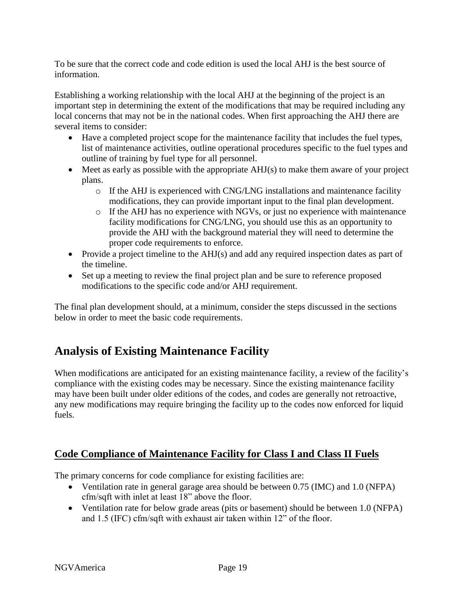To be sure that the correct code and code edition is used the local AHJ is the best source of information.

Establishing a working relationship with the local AHJ at the beginning of the project is an important step in determining the extent of the modifications that may be required including any local concerns that may not be in the national codes. When first approaching the AHJ there are several items to consider:

- Have a completed project scope for the maintenance facility that includes the fuel types, list of maintenance activities, outline operational procedures specific to the fuel types and outline of training by fuel type for all personnel.
- $\bullet$  Meet as early as possible with the appropriate AHJ(s) to make them aware of your project plans.
	- o If the AHJ is experienced with CNG/LNG installations and maintenance facility modifications, they can provide important input to the final plan development.
	- o If the AHJ has no experience with NGVs, or just no experience with maintenance facility modifications for CNG/LNG, you should use this as an opportunity to provide the AHJ with the background material they will need to determine the proper code requirements to enforce.
- Provide a project timeline to the AHJ(s) and add any required inspection dates as part of the timeline.
- Set up a meeting to review the final project plan and be sure to reference proposed modifications to the specific code and/or AHJ requirement.

The final plan development should, at a minimum, consider the steps discussed in the sections below in order to meet the basic code requirements.

## <span id="page-18-0"></span>**Analysis of Existing Maintenance Facility**

When modifications are anticipated for an existing maintenance facility, a review of the facility's compliance with the existing codes may be necessary. Since the existing maintenance facility may have been built under older editions of the codes, and codes are generally not retroactive, any new modifications may require bringing the facility up to the codes now enforced for liquid fuels.

## <span id="page-18-1"></span>**Code Compliance of Maintenance Facility for Class I and Class II Fuels**

The primary concerns for code compliance for existing facilities are:

- Ventilation rate in general garage area should be between 0.75 (IMC) and 1.0 (NFPA) cfm/sqft with inlet at least 18" above the floor.
- Ventilation rate for below grade areas (pits or basement) should be between 1.0 (NFPA) and 1.5 (IFC) cfm/sqft with exhaust air taken within 12" of the floor.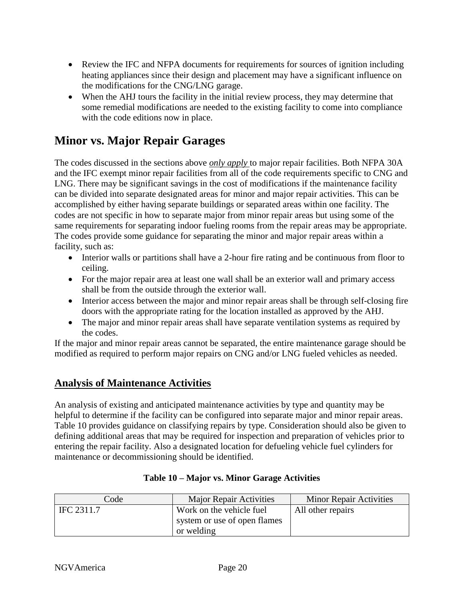- Review the IFC and NFPA documents for requirements for sources of ignition including heating appliances since their design and placement may have a significant influence on the modifications for the CNG/LNG garage.
- When the AHJ tours the facility in the initial review process, they may determine that some remedial modifications are needed to the existing facility to come into compliance with the code editions now in place.

## <span id="page-19-0"></span>**Minor vs. Major Repair Garages**

The codes discussed in the sections above *only apply* to major repair facilities. Both NFPA 30A and the IFC exempt minor repair facilities from all of the code requirements specific to CNG and LNG. There may be significant savings in the cost of modifications if the maintenance facility can be divided into separate designated areas for minor and major repair activities. This can be accomplished by either having separate buildings or separated areas within one facility. The codes are not specific in how to separate major from minor repair areas but using some of the same requirements for separating indoor fueling rooms from the repair areas may be appropriate. The codes provide some guidance for separating the minor and major repair areas within a facility, such as:

- Interior walls or partitions shall have a 2-hour fire rating and be continuous from floor to ceiling.
- For the major repair area at least one wall shall be an exterior wall and primary access shall be from the outside through the exterior wall.
- Interior access between the major and minor repair areas shall be through self-closing fire doors with the appropriate rating for the location installed as approved by the AHJ.
- The major and minor repair areas shall have separate ventilation systems as required by the codes.

If the major and minor repair areas cannot be separated, the entire maintenance garage should be modified as required to perform major repairs on CNG and/or LNG fueled vehicles as needed.

## <span id="page-19-1"></span>**Analysis of Maintenance Activities**

An analysis of existing and anticipated maintenance activities by type and quantity may be helpful to determine if the facility can be configured into separate major and minor repair areas. Table 10 provides guidance on classifying repairs by type. Consideration should also be given to defining additional areas that may be required for inspection and preparation of vehicles prior to entering the repair facility. Also a designated location for defueling vehicle fuel cylinders for maintenance or decommissioning should be identified.

| Code       | <b>Major Repair Activities</b> | <b>Minor Repair Activities</b> |
|------------|--------------------------------|--------------------------------|
| IFC 2311.7 | Work on the vehicle fuel       | All other repairs              |
|            | system or use of open flames   |                                |
|            | or welding                     |                                |

#### **Table 10 – Major vs. Minor Garage Activities**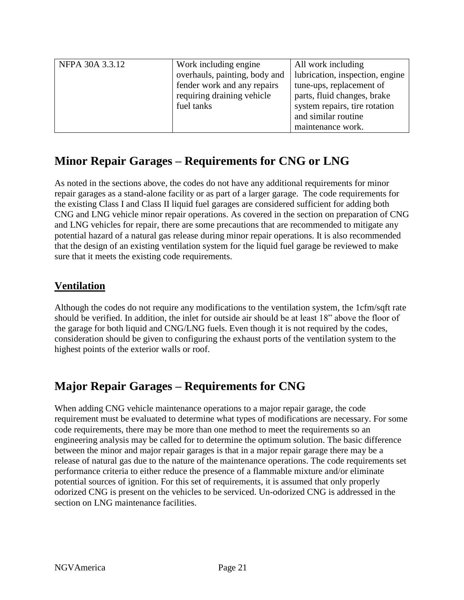| NFPA 30A 3.3.12 | Work including engine.        | All work including              |
|-----------------|-------------------------------|---------------------------------|
|                 | overhauls, painting, body and | lubrication, inspection, engine |
|                 | fender work and any repairs   | tune-ups, replacement of        |
|                 | requiring draining vehicle    | parts, fluid changes, brake     |
|                 | fuel tanks                    | system repairs, tire rotation   |
|                 |                               | and similar routine             |
|                 |                               | maintenance work.               |

## <span id="page-20-0"></span>**Minor Repair Garages – Requirements for CNG or LNG**

As noted in the sections above, the codes do not have any additional requirements for minor repair garages as a stand-alone facility or as part of a larger garage. The code requirements for the existing Class I and Class II liquid fuel garages are considered sufficient for adding both CNG and LNG vehicle minor repair operations. As covered in the section on preparation of CNG and LNG vehicles for repair, there are some precautions that are recommended to mitigate any potential hazard of a natural gas release during minor repair operations. It is also recommended that the design of an existing ventilation system for the liquid fuel garage be reviewed to make sure that it meets the existing code requirements.

## <span id="page-20-1"></span>**Ventilation**

Although the codes do not require any modifications to the ventilation system, the 1cfm/sqft rate should be verified. In addition, the inlet for outside air should be at least 18" above the floor of the garage for both liquid and CNG/LNG fuels. Even though it is not required by the codes, consideration should be given to configuring the exhaust ports of the ventilation system to the highest points of the exterior walls or roof.

## <span id="page-20-2"></span>**Major Repair Garages – Requirements for CNG**

When adding CNG vehicle maintenance operations to a major repair garage, the code requirement must be evaluated to determine what types of modifications are necessary. For some code requirements, there may be more than one method to meet the requirements so an engineering analysis may be called for to determine the optimum solution. The basic difference between the minor and major repair garages is that in a major repair garage there may be a release of natural gas due to the nature of the maintenance operations. The code requirements set performance criteria to either reduce the presence of a flammable mixture and/or eliminate potential sources of ignition. For this set of requirements, it is assumed that only properly odorized CNG is present on the vehicles to be serviced. Un-odorized CNG is addressed in the section on LNG maintenance facilities.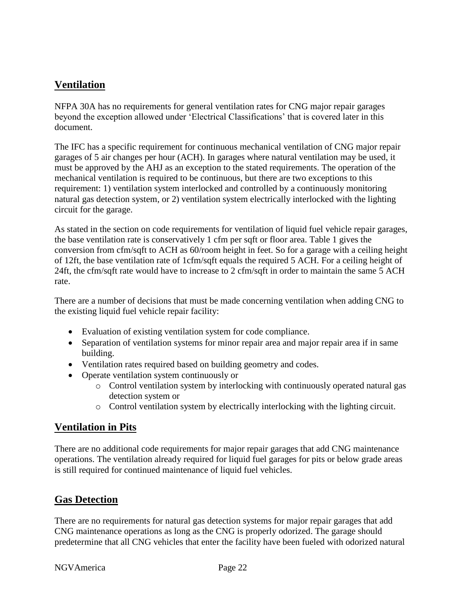## <span id="page-21-0"></span>**Ventilation**

NFPA 30A has no requirements for general ventilation rates for CNG major repair garages beyond the exception allowed under 'Electrical Classifications' that is covered later in this document.

The IFC has a specific requirement for continuous mechanical ventilation of CNG major repair garages of 5 air changes per hour (ACH). In garages where natural ventilation may be used, it must be approved by the AHJ as an exception to the stated requirements. The operation of the mechanical ventilation is required to be continuous, but there are two exceptions to this requirement: 1) ventilation system interlocked and controlled by a continuously monitoring natural gas detection system, or 2) ventilation system electrically interlocked with the lighting circuit for the garage.

As stated in the section on code requirements for ventilation of liquid fuel vehicle repair garages, the base ventilation rate is conservatively 1 cfm per sqft or floor area. Table 1 gives the conversion from cfm/sqft to ACH as 60/room height in feet. So for a garage with a ceiling height of 12ft, the base ventilation rate of 1cfm/sqft equals the required 5 ACH. For a ceiling height of 24ft, the cfm/sqft rate would have to increase to 2 cfm/sqft in order to maintain the same 5 ACH rate.

There are a number of decisions that must be made concerning ventilation when adding CNG to the existing liquid fuel vehicle repair facility:

- Evaluation of existing ventilation system for code compliance.
- Separation of ventilation systems for minor repair area and major repair area if in same building.
- Ventilation rates required based on building geometry and codes.
- Operate ventilation system continuously or
	- o Control ventilation system by interlocking with continuously operated natural gas detection system or
	- o Control ventilation system by electrically interlocking with the lighting circuit.

## <span id="page-21-1"></span>**Ventilation in Pits**

There are no additional code requirements for major repair garages that add CNG maintenance operations. The ventilation already required for liquid fuel garages for pits or below grade areas is still required for continued maintenance of liquid fuel vehicles.

## <span id="page-21-2"></span>**Gas Detection**

There are no requirements for natural gas detection systems for major repair garages that add CNG maintenance operations as long as the CNG is properly odorized. The garage should predetermine that all CNG vehicles that enter the facility have been fueled with odorized natural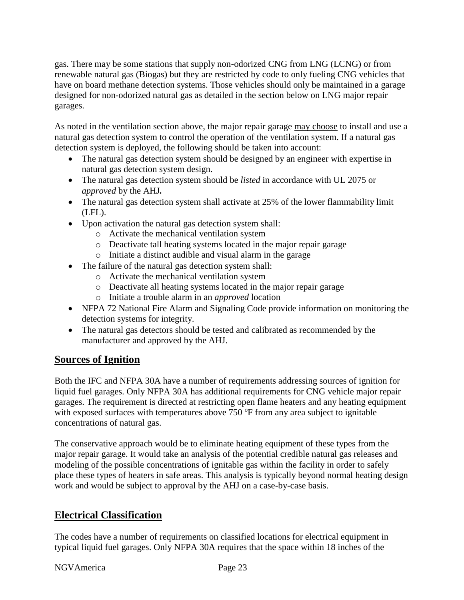gas. There may be some stations that supply non-odorized CNG from LNG (LCNG) or from renewable natural gas (Biogas) but they are restricted by code to only fueling CNG vehicles that have on board methane detection systems. Those vehicles should only be maintained in a garage designed for non-odorized natural gas as detailed in the section below on LNG major repair garages.

As noted in the ventilation section above, the major repair garage may choose to install and use a natural gas detection system to control the operation of the ventilation system. If a natural gas detection system is deployed, the following should be taken into account:

- The natural gas detection system should be designed by an engineer with expertise in natural gas detection system design.
- The natural gas detection system should be *listed* in accordance with UL 2075 or *approved* by the AHJ*.*
- The natural gas detection system shall activate at 25% of the lower flammability limit (LFL).
- Upon activation the natural gas detection system shall:
	- o Activate the mechanical ventilation system
	- o Deactivate tall heating systems located in the major repair garage
	- o Initiate a distinct audible and visual alarm in the garage
- The failure of the natural gas detection system shall:
	- o Activate the mechanical ventilation system
	- o Deactivate all heating systems located in the major repair garage
	- o Initiate a trouble alarm in an *approved* location
- NFPA 72 National Fire Alarm and Signaling Code provide information on monitoring the detection systems for integrity.
- The natural gas detectors should be tested and calibrated as recommended by the manufacturer and approved by the AHJ.

## <span id="page-22-0"></span>**Sources of Ignition**

Both the IFC and NFPA 30A have a number of requirements addressing sources of ignition for liquid fuel garages. Only NFPA 30A has additional requirements for CNG vehicle major repair garages. The requirement is directed at restricting open flame heaters and any heating equipment with exposed surfaces with temperatures above  $750$  °F from any area subject to ignitable concentrations of natural gas.

The conservative approach would be to eliminate heating equipment of these types from the major repair garage. It would take an analysis of the potential credible natural gas releases and modeling of the possible concentrations of ignitable gas within the facility in order to safely place these types of heaters in safe areas. This analysis is typically beyond normal heating design work and would be subject to approval by the AHJ on a case-by-case basis.

## <span id="page-22-1"></span>**Electrical Classification**

The codes have a number of requirements on classified locations for electrical equipment in typical liquid fuel garages. Only NFPA 30A requires that the space within 18 inches of the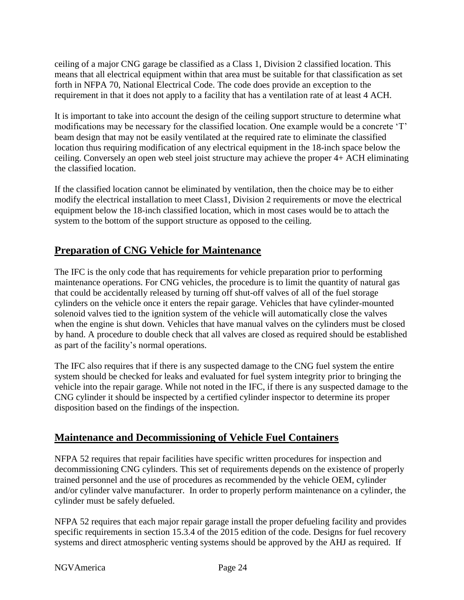ceiling of a major CNG garage be classified as a Class 1, Division 2 classified location. This means that all electrical equipment within that area must be suitable for that classification as set forth in NFPA 70, National Electrical Code. The code does provide an exception to the requirement in that it does not apply to a facility that has a ventilation rate of at least 4 ACH.

It is important to take into account the design of the ceiling support structure to determine what modifications may be necessary for the classified location. One example would be a concrete 'T' beam design that may not be easily ventilated at the required rate to eliminate the classified location thus requiring modification of any electrical equipment in the 18-inch space below the ceiling. Conversely an open web steel joist structure may achieve the proper 4+ ACH eliminating the classified location.

If the classified location cannot be eliminated by ventilation, then the choice may be to either modify the electrical installation to meet Class1, Division 2 requirements or move the electrical equipment below the 18-inch classified location, which in most cases would be to attach the system to the bottom of the support structure as opposed to the ceiling.

## <span id="page-23-0"></span>**Preparation of CNG Vehicle for Maintenance**

The IFC is the only code that has requirements for vehicle preparation prior to performing maintenance operations. For CNG vehicles, the procedure is to limit the quantity of natural gas that could be accidentally released by turning off shut-off valves of all of the fuel storage cylinders on the vehicle once it enters the repair garage. Vehicles that have cylinder-mounted solenoid valves tied to the ignition system of the vehicle will automatically close the valves when the engine is shut down. Vehicles that have manual valves on the cylinders must be closed by hand. A procedure to double check that all valves are closed as required should be established as part of the facility's normal operations.

The IFC also requires that if there is any suspected damage to the CNG fuel system the entire system should be checked for leaks and evaluated for fuel system integrity prior to bringing the vehicle into the repair garage. While not noted in the IFC, if there is any suspected damage to the CNG cylinder it should be inspected by a certified cylinder inspector to determine its proper disposition based on the findings of the inspection.

## <span id="page-23-1"></span>**Maintenance and Decommissioning of Vehicle Fuel Containers**

NFPA 52 requires that repair facilities have specific written procedures for inspection and decommissioning CNG cylinders. This set of requirements depends on the existence of properly trained personnel and the use of procedures as recommended by the vehicle OEM, cylinder and/or cylinder valve manufacturer. In order to properly perform maintenance on a cylinder, the cylinder must be safely defueled.

NFPA 52 requires that each major repair garage install the proper defueling facility and provides specific requirements in section 15.3.4 of the 2015 edition of the code. Designs for fuel recovery systems and direct atmospheric venting systems should be approved by the AHJ as required. If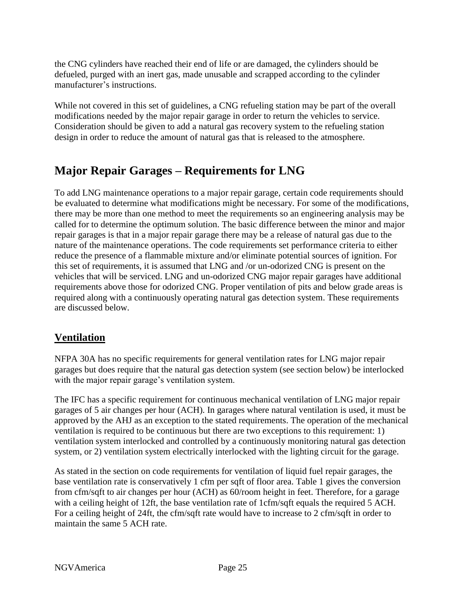the CNG cylinders have reached their end of life or are damaged, the cylinders should be defueled, purged with an inert gas, made unusable and scrapped according to the cylinder manufacturer's instructions.

While not covered in this set of guidelines, a CNG refueling station may be part of the overall modifications needed by the major repair garage in order to return the vehicles to service. Consideration should be given to add a natural gas recovery system to the refueling station design in order to reduce the amount of natural gas that is released to the atmosphere.

## <span id="page-24-0"></span>**Major Repair Garages – Requirements for LNG**

To add LNG maintenance operations to a major repair garage, certain code requirements should be evaluated to determine what modifications might be necessary. For some of the modifications, there may be more than one method to meet the requirements so an engineering analysis may be called for to determine the optimum solution. The basic difference between the minor and major repair garages is that in a major repair garage there may be a release of natural gas due to the nature of the maintenance operations. The code requirements set performance criteria to either reduce the presence of a flammable mixture and/or eliminate potential sources of ignition. For this set of requirements, it is assumed that LNG and /or un-odorized CNG is present on the vehicles that will be serviced. LNG and un-odorized CNG major repair garages have additional requirements above those for odorized CNG. Proper ventilation of pits and below grade areas is required along with a continuously operating natural gas detection system. These requirements are discussed below.

## <span id="page-24-1"></span>**Ventilation**

NFPA 30A has no specific requirements for general ventilation rates for LNG major repair garages but does require that the natural gas detection system (see section below) be interlocked with the major repair garage's ventilation system.

The IFC has a specific requirement for continuous mechanical ventilation of LNG major repair garages of 5 air changes per hour (ACH). In garages where natural ventilation is used, it must be approved by the AHJ as an exception to the stated requirements. The operation of the mechanical ventilation is required to be continuous but there are two exceptions to this requirement: 1) ventilation system interlocked and controlled by a continuously monitoring natural gas detection system, or 2) ventilation system electrically interlocked with the lighting circuit for the garage.

As stated in the section on code requirements for ventilation of liquid fuel repair garages, the base ventilation rate is conservatively 1 cfm per sqft of floor area. Table 1 gives the conversion from cfm/sqft to air changes per hour (ACH) as 60/room height in feet. Therefore, for a garage with a ceiling height of 12ft, the base ventilation rate of 1cfm/sqft equals the required 5 ACH. For a ceiling height of 24ft, the cfm/sqft rate would have to increase to 2 cfm/sqft in order to maintain the same 5 ACH rate.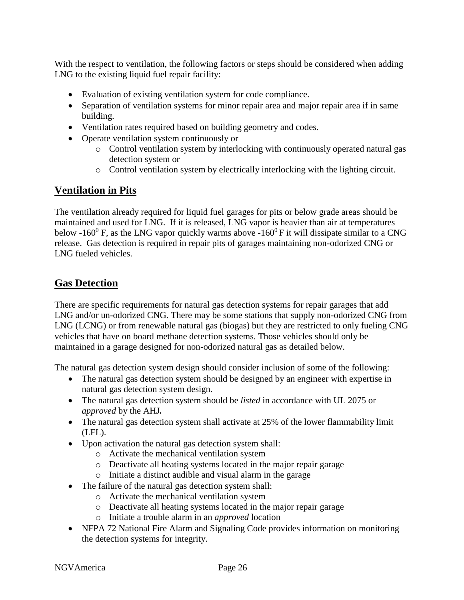With the respect to ventilation, the following factors or steps should be considered when adding LNG to the existing liquid fuel repair facility:

- Evaluation of existing ventilation system for code compliance.
- Separation of ventilation systems for minor repair area and major repair area if in same building.
- Ventilation rates required based on building geometry and codes.
- Operate ventilation system continuously or
	- o Control ventilation system by interlocking with continuously operated natural gas detection system or
	- o Control ventilation system by electrically interlocking with the lighting circuit.

## <span id="page-25-0"></span>**Ventilation in Pits**

The ventilation already required for liquid fuel garages for pits or below grade areas should be maintained and used for LNG. If it is released, LNG vapor is heavier than air at temperatures below -160<sup>0</sup> F, as the LNG vapor quickly warms above -160<sup>0</sup> F it will dissipate similar to a CNG release. Gas detection is required in repair pits of garages maintaining non-odorized CNG or LNG fueled vehicles.

#### <span id="page-25-1"></span>**Gas Detection**

There are specific requirements for natural gas detection systems for repair garages that add LNG and/or un-odorized CNG. There may be some stations that supply non-odorized CNG from LNG (LCNG) or from renewable natural gas (biogas) but they are restricted to only fueling CNG vehicles that have on board methane detection systems. Those vehicles should only be maintained in a garage designed for non-odorized natural gas as detailed below.

The natural gas detection system design should consider inclusion of some of the following:

- The natural gas detection system should be designed by an engineer with expertise in natural gas detection system design.
- The natural gas detection system should be *listed* in accordance with UL 2075 or *approved* by the AHJ*.*
- The natural gas detection system shall activate at 25% of the lower flammability limit (LFL).
- Upon activation the natural gas detection system shall:
	- o Activate the mechanical ventilation system
	- o Deactivate all heating systems located in the major repair garage
	- o Initiate a distinct audible and visual alarm in the garage
- The failure of the natural gas detection system shall:
	- o Activate the mechanical ventilation system
		- o Deactivate all heating systems located in the major repair garage
	- o Initiate a trouble alarm in an *approved* location
- NFPA 72 National Fire Alarm and Signaling Code provides information on monitoring the detection systems for integrity.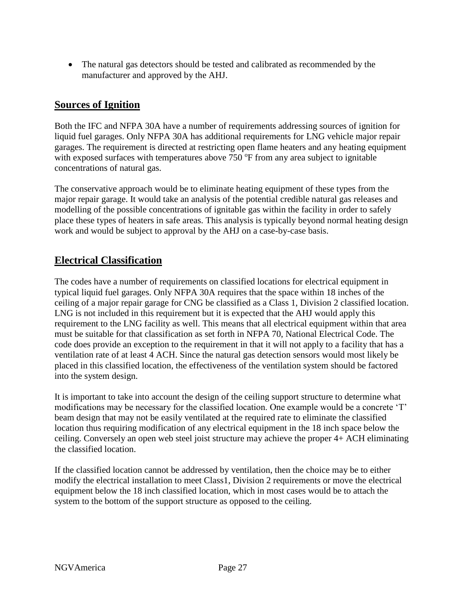The natural gas detectors should be tested and calibrated as recommended by the manufacturer and approved by the AHJ.

## <span id="page-26-0"></span>**Sources of Ignition**

Both the IFC and NFPA 30A have a number of requirements addressing sources of ignition for liquid fuel garages. Only NFPA 30A has additional requirements for LNG vehicle major repair garages. The requirement is directed at restricting open flame heaters and any heating equipment with exposed surfaces with temperatures above  $750$  °F from any area subject to ignitable concentrations of natural gas.

The conservative approach would be to eliminate heating equipment of these types from the major repair garage. It would take an analysis of the potential credible natural gas releases and modelling of the possible concentrations of ignitable gas within the facility in order to safely place these types of heaters in safe areas. This analysis is typically beyond normal heating design work and would be subject to approval by the AHJ on a case-by-case basis.

## <span id="page-26-1"></span>**Electrical Classification**

The codes have a number of requirements on classified locations for electrical equipment in typical liquid fuel garages. Only NFPA 30A requires that the space within 18 inches of the ceiling of a major repair garage for CNG be classified as a Class 1, Division 2 classified location. LNG is not included in this requirement but it is expected that the AHJ would apply this requirement to the LNG facility as well. This means that all electrical equipment within that area must be suitable for that classification as set forth in NFPA 70, National Electrical Code. The code does provide an exception to the requirement in that it will not apply to a facility that has a ventilation rate of at least 4 ACH. Since the natural gas detection sensors would most likely be placed in this classified location, the effectiveness of the ventilation system should be factored into the system design.

It is important to take into account the design of the ceiling support structure to determine what modifications may be necessary for the classified location. One example would be a concrete 'T' beam design that may not be easily ventilated at the required rate to eliminate the classified location thus requiring modification of any electrical equipment in the 18 inch space below the ceiling. Conversely an open web steel joist structure may achieve the proper 4+ ACH eliminating the classified location.

<span id="page-26-2"></span>If the classified location cannot be addressed by ventilation, then the choice may be to either modify the electrical installation to meet Class1, Division 2 requirements or move the electrical equipment below the 18 inch classified location, which in most cases would be to attach the system to the bottom of the support structure as opposed to the ceiling.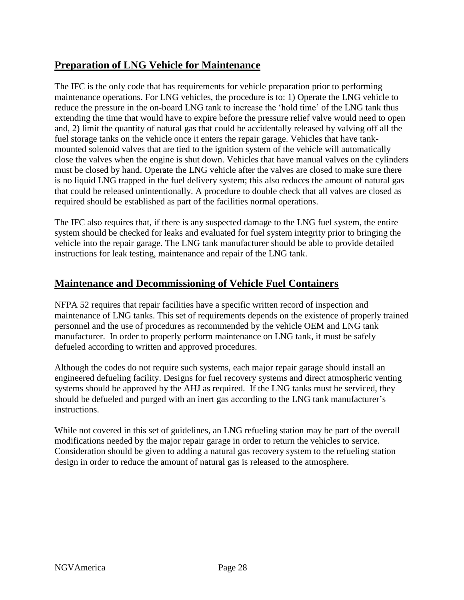## **Preparation of LNG Vehicle for Maintenance**

The IFC is the only code that has requirements for vehicle preparation prior to performing maintenance operations. For LNG vehicles, the procedure is to: 1) Operate the LNG vehicle to reduce the pressure in the on-board LNG tank to increase the 'hold time' of the LNG tank thus extending the time that would have to expire before the pressure relief valve would need to open and, 2) limit the quantity of natural gas that could be accidentally released by valving off all the fuel storage tanks on the vehicle once it enters the repair garage. Vehicles that have tankmounted solenoid valves that are tied to the ignition system of the vehicle will automatically close the valves when the engine is shut down. Vehicles that have manual valves on the cylinders must be closed by hand. Operate the LNG vehicle after the valves are closed to make sure there is no liquid LNG trapped in the fuel delivery system; this also reduces the amount of natural gas that could be released unintentionally. A procedure to double check that all valves are closed as required should be established as part of the facilities normal operations.

The IFC also requires that, if there is any suspected damage to the LNG fuel system, the entire system should be checked for leaks and evaluated for fuel system integrity prior to bringing the vehicle into the repair garage. The LNG tank manufacturer should be able to provide detailed instructions for leak testing, maintenance and repair of the LNG tank.

## <span id="page-27-0"></span>**Maintenance and Decommissioning of Vehicle Fuel Containers**

NFPA 52 requires that repair facilities have a specific written record of inspection and maintenance of LNG tanks. This set of requirements depends on the existence of properly trained personnel and the use of procedures as recommended by the vehicle OEM and LNG tank manufacturer. In order to properly perform maintenance on LNG tank, it must be safely defueled according to written and approved procedures.

Although the codes do not require such systems, each major repair garage should install an engineered defueling facility. Designs for fuel recovery systems and direct atmospheric venting systems should be approved by the AHJ as required. If the LNG tanks must be serviced, they should be defueled and purged with an inert gas according to the LNG tank manufacturer's instructions.

While not covered in this set of guidelines, an LNG refueling station may be part of the overall modifications needed by the major repair garage in order to return the vehicles to service. Consideration should be given to adding a natural gas recovery system to the refueling station design in order to reduce the amount of natural gas is released to the atmosphere.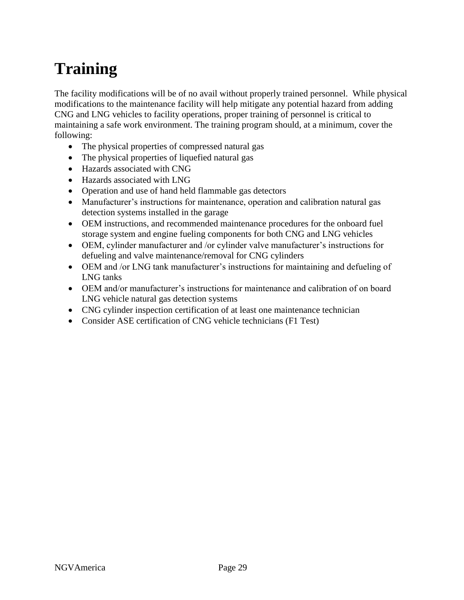# <span id="page-28-0"></span>**Training**

The facility modifications will be of no avail without properly trained personnel. While physical modifications to the maintenance facility will help mitigate any potential hazard from adding CNG and LNG vehicles to facility operations, proper training of personnel is critical to maintaining a safe work environment. The training program should, at a minimum, cover the following:

- The physical properties of compressed natural gas
- The physical properties of liquefied natural gas
- Hazards associated with CNG
- Hazards associated with LNG
- Operation and use of hand held flammable gas detectors
- Manufacturer's instructions for maintenance, operation and calibration natural gas detection systems installed in the garage
- OEM instructions, and recommended maintenance procedures for the onboard fuel storage system and engine fueling components for both CNG and LNG vehicles
- OEM, cylinder manufacturer and /or cylinder valve manufacturer's instructions for defueling and valve maintenance/removal for CNG cylinders
- OEM and /or LNG tank manufacturer's instructions for maintaining and defueling of LNG tanks
- OEM and/or manufacturer's instructions for maintenance and calibration of on board LNG vehicle natural gas detection systems
- CNG cylinder inspection certification of at least one maintenance technician
- Consider ASE certification of CNG vehicle technicians (F1 Test)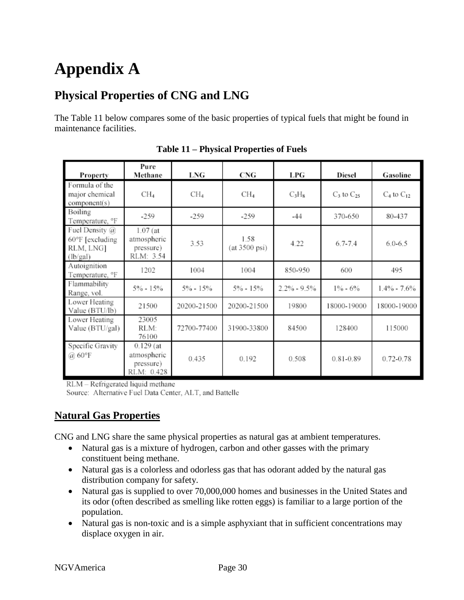# <span id="page-29-0"></span>**Appendix A**

## <span id="page-29-1"></span>**Physical Properties of CNG and LNG**

The Table 11 below compares some of the basic properties of typical fuels that might be found in maintenance facilities.

| Property                                                                  | Pure<br>Methane                                       | LNG             | <b>CNG</b>                      | LPG             | <b>Diesel</b>     | Gasoline          |
|---------------------------------------------------------------------------|-------------------------------------------------------|-----------------|---------------------------------|-----------------|-------------------|-------------------|
| Formula of the<br>major chemical<br>component(s)                          | $CH_4$                                                | CH <sub>4</sub> | CH <sub>4</sub>                 | $C_3H_8$        | $C_3$ to $C_{25}$ | $C_4$ to $C_{12}$ |
| Boiling<br>Temperature, °F                                                | $-259$                                                | $-259$          | $-259$                          | $-44$           | 370-650           | 80-437            |
| Fuel Density $(a)$<br>$60^{\circ}$ F [excluding]<br>RLM, LNG]<br>(lb/gal) | $1.07$ (at<br>atmospheric<br>pressure)<br>RLM: 3.54   | 3.53            | 1.58<br>$(at 3500 \text{ psi})$ | 4.22            | $6.7 - 7.4$       | $6.0 - 6.5$       |
| Autoignition<br>Temperature, °F                                           | 1202                                                  | 1004            | 1004                            | 850-950         | 600               | 495               |
| Flammability<br>Range, vol.                                               | 5% - 15%                                              | 5% - 15%        | $5\% - 15\%$                    | $2.2\% - 9.5\%$ | $1\% - 6\%$       | $1.4\% - 7.6\%$   |
| Lower Heating<br>Value (BTU/lb)                                           | 21500                                                 | 20200-21500     | 20200-21500                     | 19800           | 18000-19000       | 18000-19000       |
| Lower Heating<br>Value (BTU/gal)                                          | 23005<br>RLM:<br>76100                                | 72700-77400     | 31900-33800                     | 84500           | 128400            | 115000            |
| Specific Gravity<br>$\omega$ 60°F                                         | $0.129$ (at<br>atmospheric<br>pressure)<br>RLM: 0.428 | 0.435           | 0.192                           | 0.508           | 0.81-0.89         | 0.72-0.78         |

**Table 11 – Physical Properties of Fuels**

RLM - Refrigerated liquid methane

Source: Alternative Fuel Data Center, ALT, and Battelle

## <span id="page-29-2"></span>**Natural Gas Properties**

CNG and LNG share the same physical properties as natural gas at ambient temperatures.

- Natural gas is a mixture of hydrogen, carbon and other gasses with the primary constituent being methane.
- Natural gas is a colorless and odorless gas that has odorant added by the natural gas distribution company for safety.
- Natural gas is supplied to over 70,000,000 homes and businesses in the United States and its odor (often described as smelling like rotten eggs) is familiar to a large portion of the population.
- Natural gas is non-toxic and is a simple asphyxiant that in sufficient concentrations may displace oxygen in air.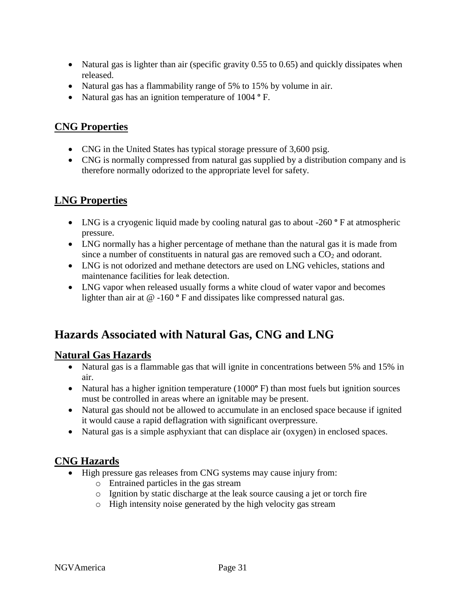- Natural gas is lighter than air (specific gravity 0.55 to 0.65) and quickly dissipates when released.
- Natural gas has a flammability range of 5% to 15% by volume in air.
- Natural gas has an ignition temperature of 1004 **º** F.

## <span id="page-30-0"></span>**CNG Properties**

- CNG in the United States has typical storage pressure of 3,600 psig.
- CNG is normally compressed from natural gas supplied by a distribution company and is therefore normally odorized to the appropriate level for safety.

## <span id="page-30-1"></span>**LNG Properties**

- LNG is a cryogenic liquid made by cooling natural gas to about -260 ° F at atmospheric pressure.
- LNG normally has a higher percentage of methane than the natural gas it is made from since a number of constituents in natural gas are removed such a  $CO<sub>2</sub>$  and odorant.
- LNG is not odorized and methane detectors are used on LNG vehicles, stations and maintenance facilities for leak detection.
- LNG vapor when released usually forms a white cloud of water vapor and becomes lighter than air at @ -160 **º** F and dissipates like compressed natural gas.

## <span id="page-30-2"></span>**Hazards Associated with Natural Gas, CNG and LNG**

## <span id="page-30-3"></span>**Natural Gas Hazards**

- Natural gas is a flammable gas that will ignite in concentrations between 5% and 15% in air.
- Natural has a higher ignition temperature (1000**º** F) than most fuels but ignition sources must be controlled in areas where an ignitable may be present.
- Natural gas should not be allowed to accumulate in an enclosed space because if ignited it would cause a rapid deflagration with significant overpressure.
- Natural gas is a simple asphyxiant that can displace air (oxygen) in enclosed spaces.

## <span id="page-30-4"></span>**CNG Hazards**

- High pressure gas releases from CNG systems may cause injury from:
	- o Entrained particles in the gas stream
	- o Ignition by static discharge at the leak source causing a jet or torch fire
	- o High intensity noise generated by the high velocity gas stream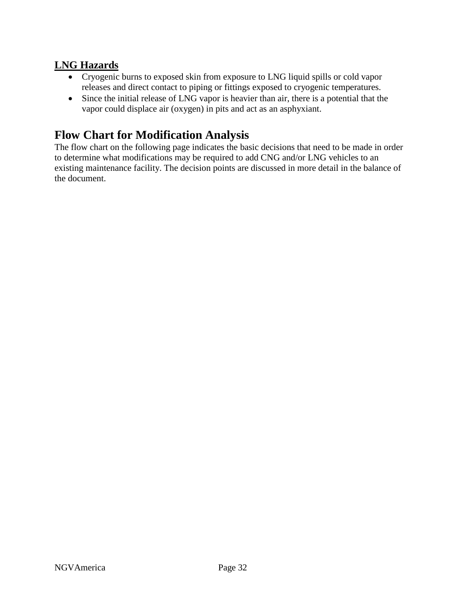## <span id="page-31-0"></span>**LNG Hazards**

- Cryogenic burns to exposed skin from exposure to LNG liquid spills or cold vapor releases and direct contact to piping or fittings exposed to cryogenic temperatures.
- Since the initial release of LNG vapor is heavier than air, there is a potential that the vapor could displace air (oxygen) in pits and act as an asphyxiant.

## <span id="page-31-1"></span>**Flow Chart for Modification Analysis**

The flow chart on the following page indicates the basic decisions that need to be made in order to determine what modifications may be required to add CNG and/or LNG vehicles to an existing maintenance facility. The decision points are discussed in more detail in the balance of the document.